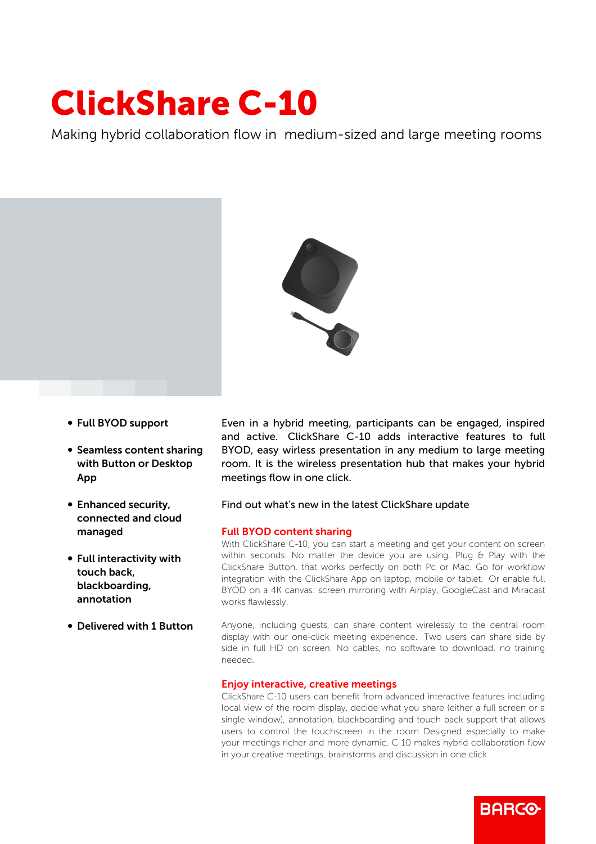# ClickShare C-10

Making hybrid collaboration flow in medium-sized and large meeting rooms



- b Full BYOD support
- Seamless content sharing with Button or Desktop App
- Enhanced security, connected and cloud managed
- Full interactivity with touch back, blackboarding, annotation
- **Delivered with 1 Button**

Even in a hybrid meeting, participants can be engaged, inspired and active. ClickShare C-10 adds interactive features to full BYOD, easy wirless presentation in any medium to large meeting room. It is the wireless presentation hub that makes your hybrid meetings flow in one click.

## Find out what's new in the latest ClickShare update

### Full BYOD content sharing

With ClickShare C-10, you can start a meeting and get your content on screen within seconds. No matter the device you are using. Plug & Play with the ClickShare Button, that works perfectly on both Pc or Mac. Go for workflow integration with the ClickShare App on laptop, mobile or tablet. Or enable full BYOD on a 4K canvas: screen mirroring with Airplay, GoogleCast and Miracast works flawlessly.

Anyone, including guests, can share content wirelessly to the central room display with our one-click meeting experience. Two users can share side by side in full HD on screen. No cables, no software to download, no training needed.

### Enjoy interactive, creative meetings

ClickShare C-10 users can benefit from advanced interactive features including local view of the room display, decide what you share (either a full screen or a single window), annotation, blackboarding and touch back support that allows users to control the touchscreen in the room. Designed especially to make your meetings richer and more dynamic. C-10 makes hybrid collaboration flow in your creative meetings, brainstorms and discussion in one click.

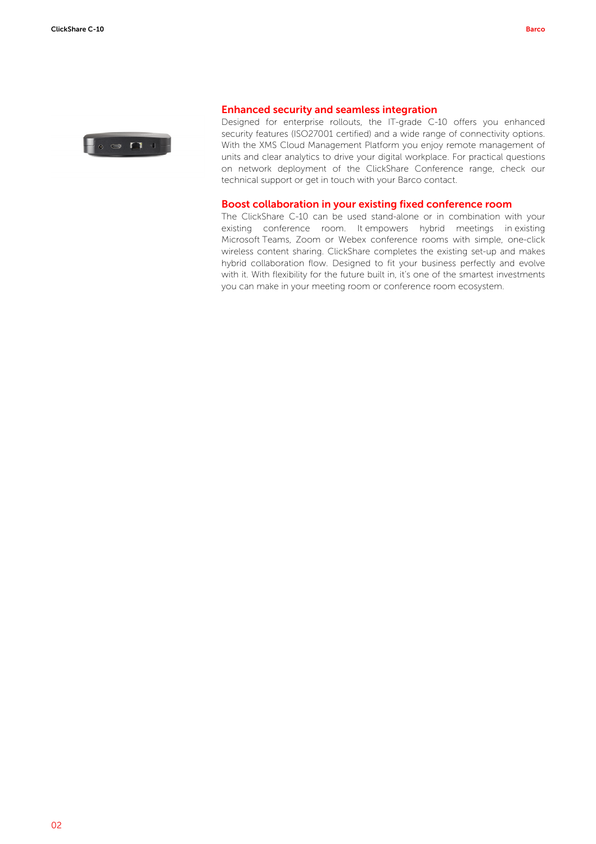

#### Enhanced security and seamless integration

Designed for enterprise rollouts, the IT-grade C-10 offers you enhanced security features (ISO27001 certified) and a wide range of connectivity options. With the XMS Cloud Management Platform you enjoy remote management of units and clear analytics to drive your digital workplace. For practical questions on network deployment of the ClickShare Conference range, check our technical support or get in touch with your Barco contact.

#### Boost collaboration in your existing fixed conference room

The ClickShare C-10 can be used stand-alone or in combination with your existing conference room. It empowers hybrid meetings in existing Microsoft Teams, Zoom or Webex conference rooms with simple, one-click wireless content sharing. ClickShare completes the existing set-up and makes hybrid collaboration flow. Designed to fit your business perfectly and evolve with it. With flexibility for the future built in, it's one of the smartest investments you can make in your meeting room or conference room ecosystem.